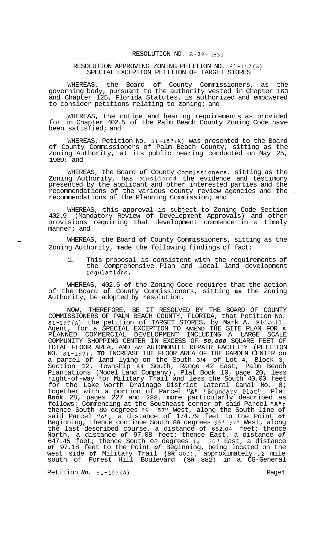## RESOLUTION NO. R-89- **1633**

## RESOLUTION APPROVING ZONING PETITION NO. 81-157(A) SPECIAL EXCEPTION PETITION OF TARGET STORES

WHEREAS, the Board **of** County Commissioners, as the governing body, pursuant to the authority vested in Chapter 163 and Chapter 125, Florida Statutes, is authorized and empowered to consider petitions relating to zoning; and

WHEREAS, the notice and hearing requirements as provided for in Chapter 402.5 of the Palm Beach County Zoning Code have been satisfied; and

WHEREAS, Petition No. 81-157(A) was presented to the Board of County Commissioners of Palm Beach County, sitting as the Zoning Authority, at its public hearing conducted on May 25, 1989: and

WHEREAS, the Board *of* County Commissioners, sitting as the Zoning Authority, has considered the evidence and testimony presented by the applicant and other interested parties and the recommendations of the various county review agencies and the . recommendations of the Planning Commission; and

WHEREAS, this approval is subject to Zoning Code Section 402.9 (Mandatory Review of Development Approvals) and other provisions requiring that development commence in a timely manner; and

- WHEREAS, the Board **of** County Commissioners, sitting as the Zoning Authority, made the following findings of fact:

1. This proposal is consistent with the requirements of the Comprehensive Plan and local land development regulatidns.

WHEREAS, 402.5 **of** the Zoning Code requires that the action of the Board **of** County Commissioners, sitting **as** the Zoning Authority, be adopted by resolution.

NOW, THEREFORE, BE IT RESOLVED BY THE BOARD OF COUNTY COMMISSIONERS OF PALM BEACH COUNTY, FLORIDA, that Petition No. 81-157(A) the petition of TARGET STORES, by Mark A. Bidwell, Agent, for a SPECIAL EXCEPTION TO **AMEND** THE SITE PLAN FOR **A**  PLANNED COMMERCIAL DEVELOPMENT INCLUDING A LARGE SCALE COMMUNITY SHOPPING CENTER IN EXCESS OF *50,000* SQUARE FEET OF TOTAL FLOOR AREA, AND *AN* AUTOMOBILE REPAIR FACILITY (PETITION NO. 81-157), **TO** INCREASE THE FLOOR AREA OF THE GARDEN CENTER on a parcel **of** land lying on the South **3/4** of Lot **4,** Block 3, Section 12, Township **44** South, Range 42 East, Palm Beach Plantations (Model Land Company) , Plat Book 10, page 20, less right-of-way for Military Trail and less the South 40.00 feet for the Lake Worth Drainage District Lateral Canal No. 8; Together with a portion of Parcel "A" "Boundary Plat", Plat **Book** 28, pages 227 and 288, more particularly described as follows: Commencing at the Southeast corner of said Parcel "A"; thence South 89 degrees 59' 57" West, along the South line **of**  said Parcel "A", a distance of 174.79 feet to the Point of Beginning, thence continue South 89 degrees 59' 57" West, along the last described course, a distance of 652.04 feet; thence North, a distance **of** 97.08 feet; thence East, a distance *of*  647.45 feet; thence South 02 degrees 42' **30"** East, a distance *of* 97.18 feet to the Point *of* Beginning, being located on the west side **of** Military Trail **(SR** 809), approximately .2 mile south of Forest Hill Boulevard **(SR** 882) in a CG-General

Petition *No.* 81-157 **(A)** Page **1**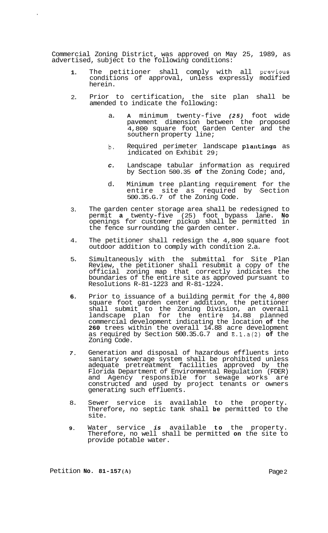Commercial Zoning District, was approved on May 25, 1989, as advertised, subject to the following conditions:

- **1.**  The petitioner shall comply with all previous conditions of approval, unless expressly modified herein.
- 2. Prior to certification, the site plan shall be amended to indicate the following:
	- a. **A** minimum twenty-five *(25)* foot wide pavement dimension between the proposed 4,800 square foot Garden Center and the southern property line;
	- b. Required perimeter landscape plantings as indicated on Exhibit 29;
	- *c.* Landscape tabular information as required by Section 500.35 **of** the Zoning Code; and,
	- d. Minimum tree planting requirement for the entire site as required by Section 500.35.G.7 of the Zoning Code.
- 3. The garden center storage area shall be redesigned to permit **a** twenty-five (25) foot bypass lane. **No**  openings for customer pickup shall be permitted in the fence surrounding the garden center.
- 4. The petitioner shall redesign the 4,800 square foot outdoor addition to comply with condition 2.a.
- 5. Simultaneously with the submittal for Site Plan Review, the petitioner shall resubmit a copy of the official zoning map that correctly indicates the boundaries of the entire site as approved pursuant to Resolutions R-81-1223 and R-81-1224.
- **6.**  Prior to issuance of a building permit for the 4,800 square foot garden center addition, the petitioner shall submit to the Zoning Division, an overall landscape plan for the entire 14.88 planned commercial development indicating the location **of** the **260** trees within the overall 14.88 acre development as required by Section 500.35.G.7 and E.l.a(2) **of** the Zoning Code.
- *7.*  Generation and disposal of hazardous effluents into sanitary sewerage system shall be prohibited unless adequate pretreatment facilities approved by the Florida Department of Environmental Regulation (FDER) and Agency responsible for sewage works are constructed and used by project tenants or owners generating such effluents.
- 8. Sewer service is available to the property. Therefore, no septic tank shall **be** permitted to the site.
- **9.**  Water service *is* available **to** the property. Therefore, no well shall be permitted **on** the site to provide potable water.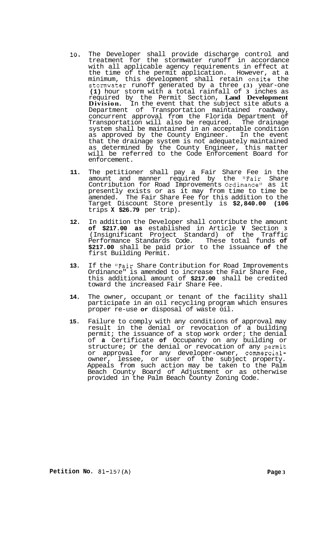- **10.** The Developer shall provide discharge control and treatment for the stormwater runoff in accordance with all applicable agency requirements in effect at the time of the permit application. However, at a minimum, this development shall retain onsite the stomwater runoff generated by a three **(3)** year-one **(1)** hour storm with a total rainfall of **3** inches as required by the Permit Section, **Land Development Division.** In the event that the subject site abuts a Department of Transportation maintained roadway, concurrent approval from the Florida Department of Transportation will also be required. The drainage system shall be maintained in an acceptable condition as approved by the County Engineer. In the event that the drainage system is not adequately maintained as determined by the County Engineer, this matter will be referred to the Code Enforcement Board for enforcement.
- **11.** The petitioner shall pay a Fair Share Fee in the amount and manner required by the "Fair Share Contribution for Road Improvements Ordinance" as it presently exists or as it may from time to time be amended. The Fair Share Fee for this addition to the Target Discount Store presently is **\$2,840.00 (106**  trips **X \$26.79** per trip).
- **12.** In addition the Developer shall contribute the amount **of \$217.00 as** established in Article **V** Section **3**  (Insignificant Project Standard) of the Traffic Performance Standards Code. These total funds **of \$217.00** shall be paid prior to the issuance **of** the first Building Permit.
- **13.** If the "Fair Share Contribution for Road Improvements Ordinance" is amended to increase the Fair Share Fee, this additional amount of **\$217.00** shall be credited toward the increased Fair Share Fee.
- **14.** The owner, occupant or tenant of the facility shall participate in an oil recycling program which ensures proper re-use **or** disposal of waste oil.
- **15.** Failure to comply with any conditions of approval may result in the denial or revocation of a building permit; the issuance of a stop work order; the denial of **a** Certificate **of** Occupancy on any building or structure; or the denial or revocation of any permit or approval for any developer-owner, commercialowner, lessee, or user of the subject property. Appeals from such action may be taken to the Palm Beach County Board of Adjustment or as otherwise provided in the Palm Beach County Zoning Code.

**Petition No. 81-157(A) Page 3**